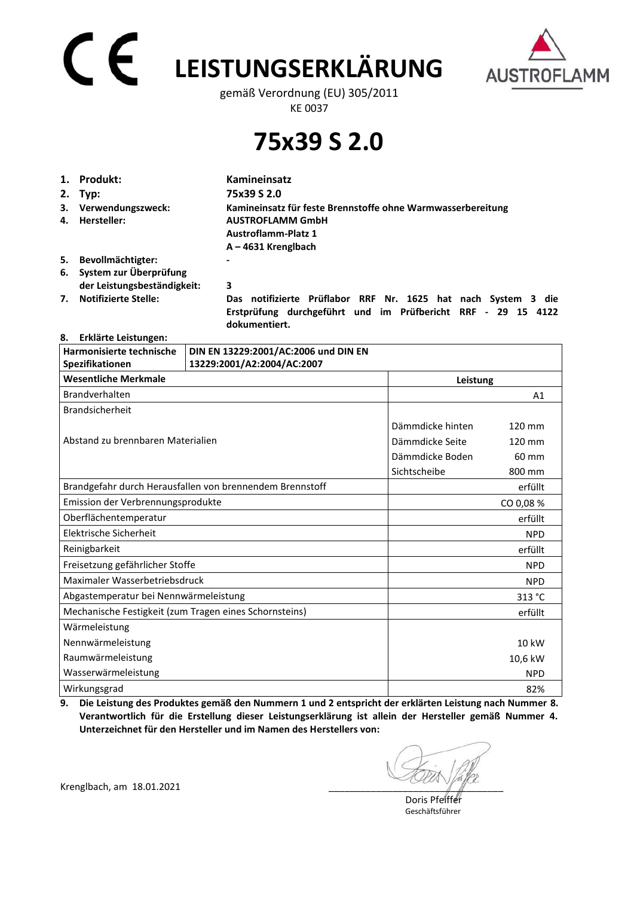# **LEISTUNGSERKLÄRUNG**



gemäß Verordnung (EU) 305/2011 KE 0037

### **75x39 S 2.0**

| 1. | Produkt:                                                 | Kamineinsatz                                                                                                                                  |  |
|----|----------------------------------------------------------|-----------------------------------------------------------------------------------------------------------------------------------------------|--|
|    | 2. Typ:                                                  | 75x39 S 2.0                                                                                                                                   |  |
| 4. | 3. Verwendungszweck:<br>Hersteller:                      | Kamineinsatz für feste Brennstoffe ohne Warmwasserbereitung<br><b>AUSTROFLAMM GmbH</b><br><b>Austroflamm-Platz 1</b><br>$A - 4631$ Krenglbach |  |
| 5. | Bevollmächtigter:                                        |                                                                                                                                               |  |
|    | 6. System zur Überprüfung<br>der Leistungsbeständigkeit: | 3                                                                                                                                             |  |
| 7. | <b>Notifizierte Stelle:</b>                              | notifizierte Prüflabor RRF Nr. 1625 hat nach System 3 die<br>Das<br>Erstprüfung durchgeführt und im Prüfbericht RRF<br>- 29 15 4122           |  |

 **dokumentiert.** 

#### **8. Erklärte Leistungen:**

| Harmonisierte technische                               | DIN EN 13229:2001/AC:2006 und DIN EN                     |                  |                  |
|--------------------------------------------------------|----------------------------------------------------------|------------------|------------------|
| Spezifikationen                                        | 13229:2001/A2:2004/AC:2007                               |                  |                  |
| <b>Wesentliche Merkmale</b>                            | Leistung                                                 |                  |                  |
| Brandverhalten                                         |                                                          |                  | A <sub>1</sub>   |
| <b>Brandsicherheit</b>                                 |                                                          |                  |                  |
|                                                        |                                                          | Dämmdicke hinten | $120 \text{ mm}$ |
| Abstand zu brennbaren Materialien                      |                                                          | Dämmdicke Seite  | 120 mm           |
|                                                        |                                                          | Dämmdicke Boden  | 60 mm            |
|                                                        |                                                          | Sichtscheibe     | 800 mm           |
|                                                        | Brandgefahr durch Herausfallen von brennendem Brennstoff |                  | erfüllt          |
| Emission der Verbrennungsprodukte                      |                                                          |                  | CO 0,08 %        |
| Oberflächentemperatur                                  |                                                          |                  | erfüllt          |
| Elektrische Sicherheit                                 |                                                          |                  | <b>NPD</b>       |
| Reinigbarkeit                                          |                                                          |                  | erfüllt          |
| Freisetzung gefährlicher Stoffe                        |                                                          |                  | <b>NPD</b>       |
| Maximaler Wasserbetriebsdruck                          |                                                          |                  | <b>NPD</b>       |
| Abgastemperatur bei Nennwärmeleistung                  |                                                          |                  | 313 °C           |
| Mechanische Festigkeit (zum Tragen eines Schornsteins) |                                                          |                  | erfüllt          |
| Wärmeleistung                                          |                                                          |                  |                  |
| Nennwärmeleistung                                      |                                                          |                  | 10 kW            |
| Raumwärmeleistung                                      |                                                          |                  | 10,6 kW          |
| Wasserwärmeleistung                                    |                                                          |                  | <b>NPD</b>       |
| Wirkungsgrad                                           |                                                          |                  | 82%              |

**9. Die Leistung des Produktes gemäß den Nummern 1 und 2 entspricht der erklärten Leistung nach Nummer 8. Verantwortlich für die Erstellung dieser Leistungserklärung ist allein der Hersteller gemäß Nummer 4. Unterzeichnet für den Hersteller und im Namen des Herstellers von:** 

Krenglbach, am 18.01.2021

 Doris Pfeiffer Geschäftsführer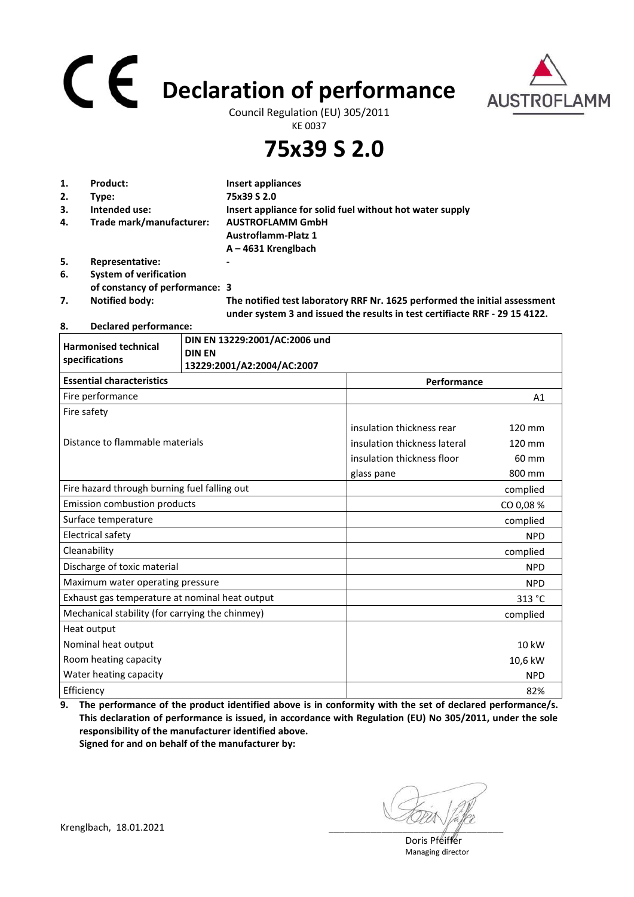## **Declaration of performance**



Council Regulation (EU) 305/2011 KE 0037

**75x39 S 2.0**

| 1. | Product:                       | Insert appliances                                                                                                                                         |
|----|--------------------------------|-----------------------------------------------------------------------------------------------------------------------------------------------------------|
| 2. | Type:                          | 75x39 S 2.0                                                                                                                                               |
| 3. | Intended use:                  | Insert appliance for solid fuel without hot water supply                                                                                                  |
| 4. | Trade mark/manufacturer:       | <b>AUSTROFLAMM GmbH</b>                                                                                                                                   |
|    |                                | <b>Austroflamm-Platz 1</b>                                                                                                                                |
|    |                                | $A - 4631$ Krenglbach                                                                                                                                     |
| 5. | Representative:                |                                                                                                                                                           |
| 6. | <b>System of verification</b>  |                                                                                                                                                           |
|    | of constancy of performance: 3 |                                                                                                                                                           |
| 7. | <b>Notified body:</b>          | The notified test laboratory RRF Nr. 1625 performed the initial assessment<br>under system 3 and issued the results in test certifiacte RRF - 29 15 4122. |

**8. Declared performance:** 

| <b>Harmonised technical</b><br>specifications   | DIN EN 13229:2001/AC:2006 und<br><b>DIN EN</b><br>13229:2001/A2:2004/AC:2007 |                              |            |
|-------------------------------------------------|------------------------------------------------------------------------------|------------------------------|------------|
| <b>Essential characteristics</b>                |                                                                              | Performance                  |            |
| Fire performance                                |                                                                              |                              | A1         |
| Fire safety                                     |                                                                              |                              |            |
|                                                 |                                                                              | insulation thickness rear    | 120 mm     |
| Distance to flammable materials                 |                                                                              | insulation thickness lateral | 120 mm     |
|                                                 |                                                                              | insulation thickness floor   | 60 mm      |
|                                                 |                                                                              | glass pane                   | 800 mm     |
| Fire hazard through burning fuel falling out    |                                                                              |                              | complied   |
| <b>Emission combustion products</b>             |                                                                              |                              | CO 0,08 %  |
| Surface temperature                             |                                                                              |                              | complied   |
| <b>Electrical safety</b>                        |                                                                              |                              | <b>NPD</b> |
| Cleanability                                    |                                                                              |                              | complied   |
| Discharge of toxic material                     |                                                                              |                              | <b>NPD</b> |
| Maximum water operating pressure                |                                                                              |                              | <b>NPD</b> |
| Exhaust gas temperature at nominal heat output  |                                                                              |                              | 313 °C     |
| Mechanical stability (for carrying the chinmey) |                                                                              |                              | complied   |
| Heat output                                     |                                                                              |                              |            |
| Nominal heat output                             |                                                                              |                              | 10 kW      |
| Room heating capacity                           |                                                                              |                              | 10,6 kW    |
| Water heating capacity                          |                                                                              |                              | <b>NPD</b> |
| Efficiency                                      |                                                                              |                              | 82%        |

**9. The performance of the product identified above is in conformity with the set of declared performance/s. This declaration of performance is issued, in accordance with Regulation (EU) No 305/2011, under the sole responsibility of the manufacturer identified above. Signed for and on behalf of the manufacturer by:**

Krenglbach, 18.01.2021

 Doris Pfeiffer Managing director